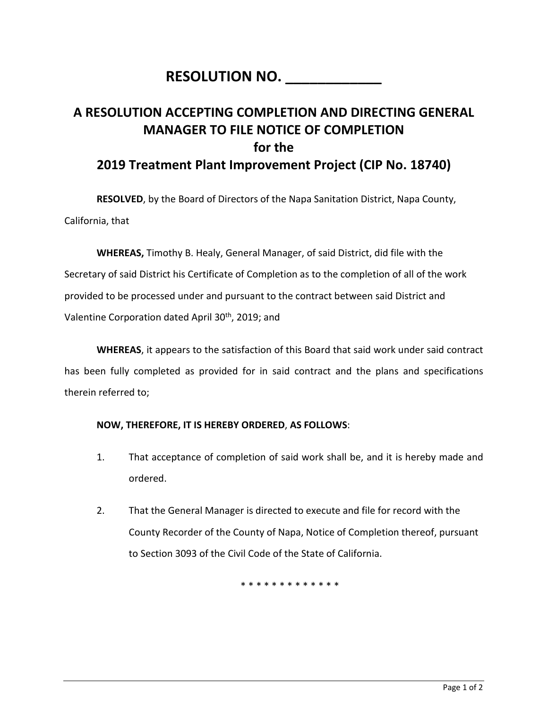## **RESOLUTION NO.**

## **A RESOLUTION ACCEPTING COMPLETION AND DIRECTING GENERAL MANAGER TO FILE NOTICE OF COMPLETION for the 2019 Treatment Plant Improvement Project (CIP No. 18740)**

**RESOLVED**, by the Board of Directors of the Napa Sanitation District, Napa County, California, that

**WHEREAS,** Timothy B. Healy, General Manager, of said District, did file with the Secretary of said District his Certificate of Completion as to the completion of all of the work provided to be processed under and pursuant to the contract between said District and Valentine Corporation dated April 30<sup>th</sup>, 2019; and

**WHEREAS**, it appears to the satisfaction of this Board that said work under said contract has been fully completed as provided for in said contract and the plans and specifications therein referred to;

## **NOW, THEREFORE, IT IS HEREBY ORDERED**, **AS FOLLOWS**:

- 1. That acceptance of completion of said work shall be, and it is hereby made and ordered.
- 2. That the General Manager is directed to execute and file for record with the County Recorder of the County of Napa, Notice of Completion thereof, pursuant to Section 3093 of the Civil Code of the State of California.

\* \* \* \* \* \* \* \* \* \* \* \* \*